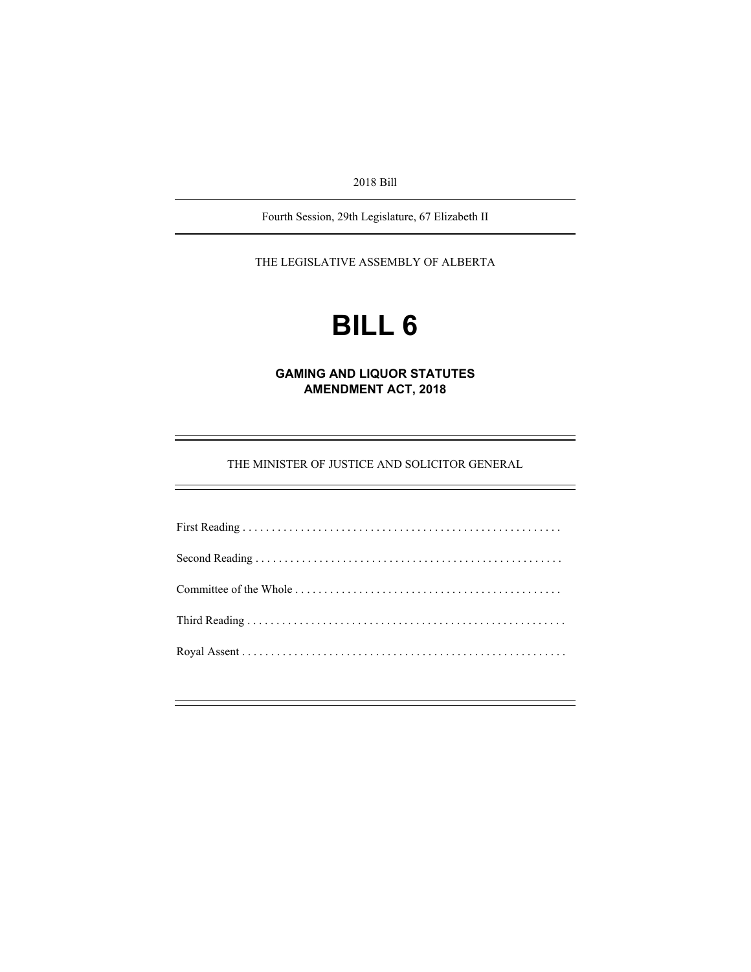2018 Bill

Fourth Session, 29th Legislature, 67 Elizabeth II

THE LEGISLATIVE ASSEMBLY OF ALBERTA

# **BILL 6**

**GAMING AND LIQUOR STATUTES AMENDMENT ACT, 2018** 

THE MINISTER OF JUSTICE AND SOLICITOR GENERAL

÷,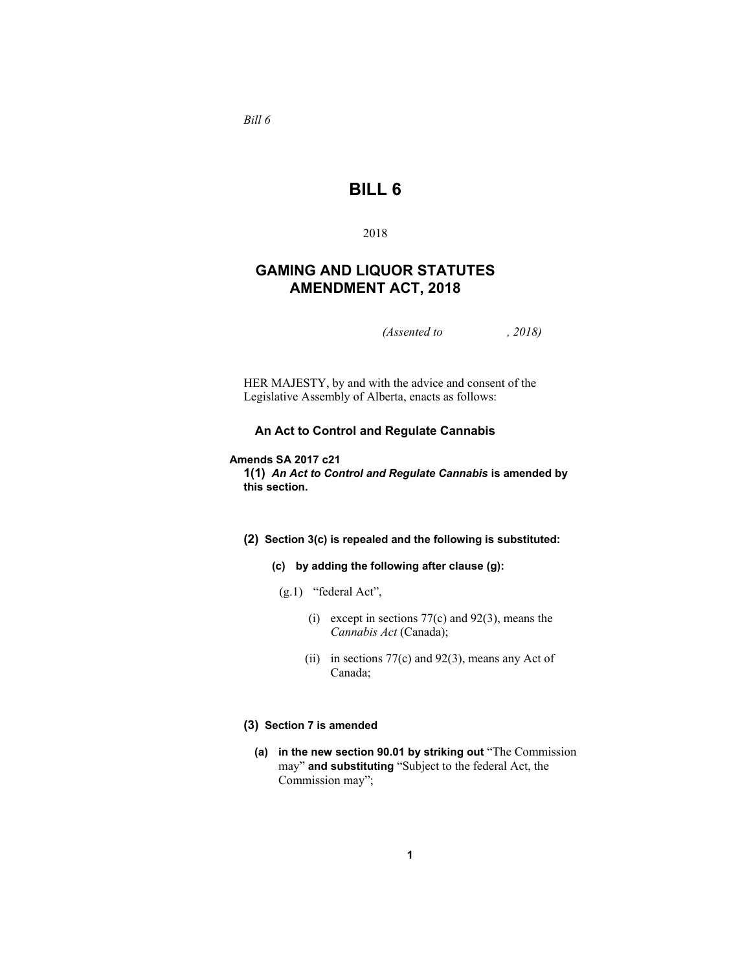*Bill 6* 

# **BILL 6**

2018

# **GAMING AND LIQUOR STATUTES AMENDMENT ACT, 2018**

*(Assented to , 2018)* 

HER MAJESTY, by and with the advice and consent of the Legislative Assembly of Alberta, enacts as follows:

# **An Act to Control and Regulate Cannabis**

## **Amends SA 2017 c21**

**1(1)** *An Act to Control and Regulate Cannabis* **is amended by this section.**

# **(2) Section 3(c) is repealed and the following is substituted:**

- **(c) by adding the following after clause (g):**
- (g.1) "federal Act",
	- (i) except in sections  $77(c)$  and  $92(3)$ , means the *Cannabis Act* (Canada);
	- (ii) in sections  $77(c)$  and  $92(3)$ , means any Act of Canada;

#### **(3) Section 7 is amended**

**(a) in the new section 90.01 by striking out** "The Commission may" **and substituting** "Subject to the federal Act, the Commission may";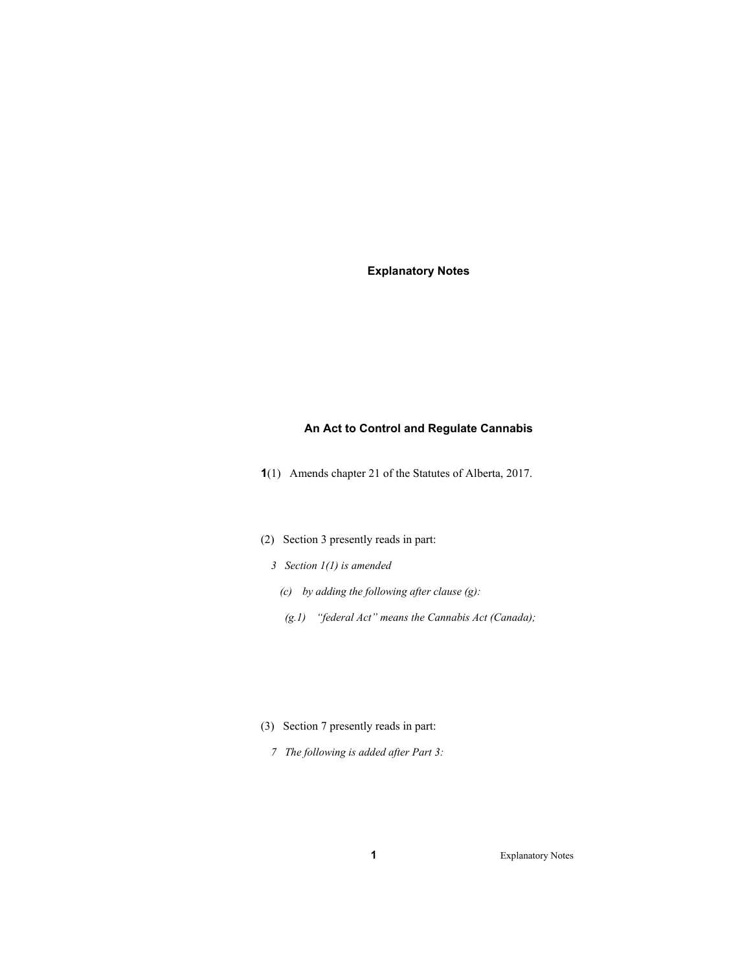# **Explanatory Notes**

# **An Act to Control and Regulate Cannabis**

- **1**(1) Amends chapter 21 of the Statutes of Alberta, 2017.
- (2) Section 3 presently reads in part:
	- *3 Section 1(1) is amended* 
		- *(c) by adding the following after clause (g):*
		- *(g.1) "federal Act" means the Cannabis Act (Canada);*
- (3) Section 7 presently reads in part:
	- *7 The following is added after Part 3:*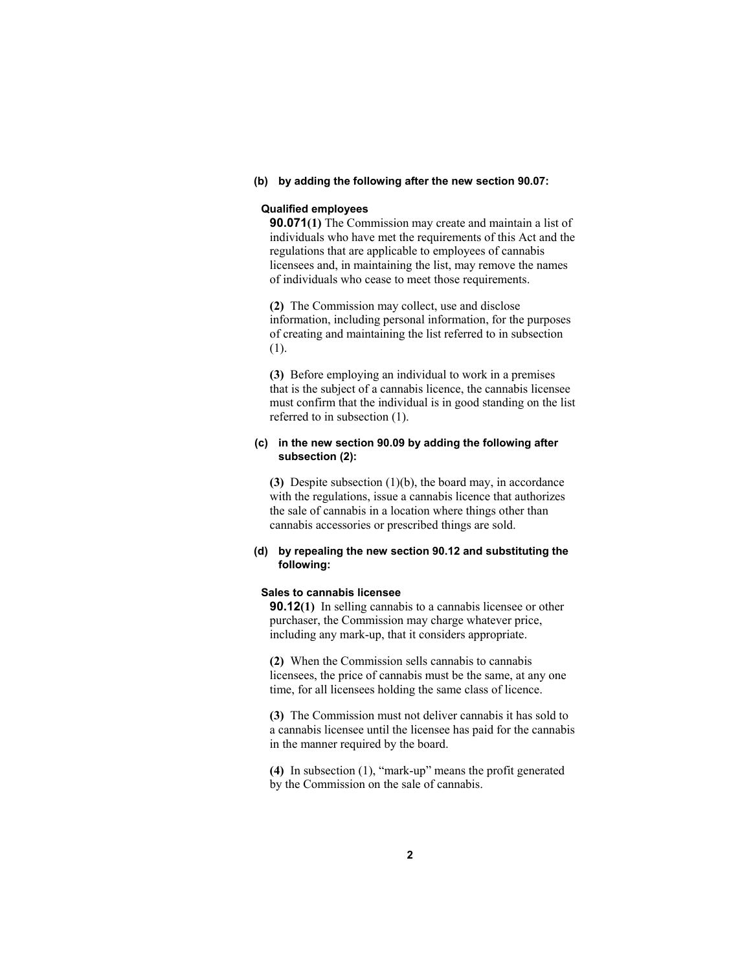#### **(b) by adding the following after the new section 90.07:**

#### **Qualified employees**

**90.071(1)** The Commission may create and maintain a list of individuals who have met the requirements of this Act and the regulations that are applicable to employees of cannabis licensees and, in maintaining the list, may remove the names of individuals who cease to meet those requirements.

**(2)** The Commission may collect, use and disclose information, including personal information, for the purposes of creating and maintaining the list referred to in subsection (1).

**(3)** Before employing an individual to work in a premises that is the subject of a cannabis licence, the cannabis licensee must confirm that the individual is in good standing on the list referred to in subsection (1).

#### **(c) in the new section 90.09 by adding the following after subsection (2):**

**(3)** Despite subsection (1)(b), the board may, in accordance with the regulations, issue a cannabis licence that authorizes the sale of cannabis in a location where things other than cannabis accessories or prescribed things are sold.

#### **(d) by repealing the new section 90.12 and substituting the following:**

#### **Sales to cannabis licensee**

**90.12(1)** In selling cannabis to a cannabis licensee or other purchaser, the Commission may charge whatever price, including any mark-up, that it considers appropriate.

**(2)** When the Commission sells cannabis to cannabis licensees, the price of cannabis must be the same, at any one time, for all licensees holding the same class of licence.

**(3)** The Commission must not deliver cannabis it has sold to a cannabis licensee until the licensee has paid for the cannabis in the manner required by the board.

**(4)** In subsection (1), "mark-up" means the profit generated by the Commission on the sale of cannabis.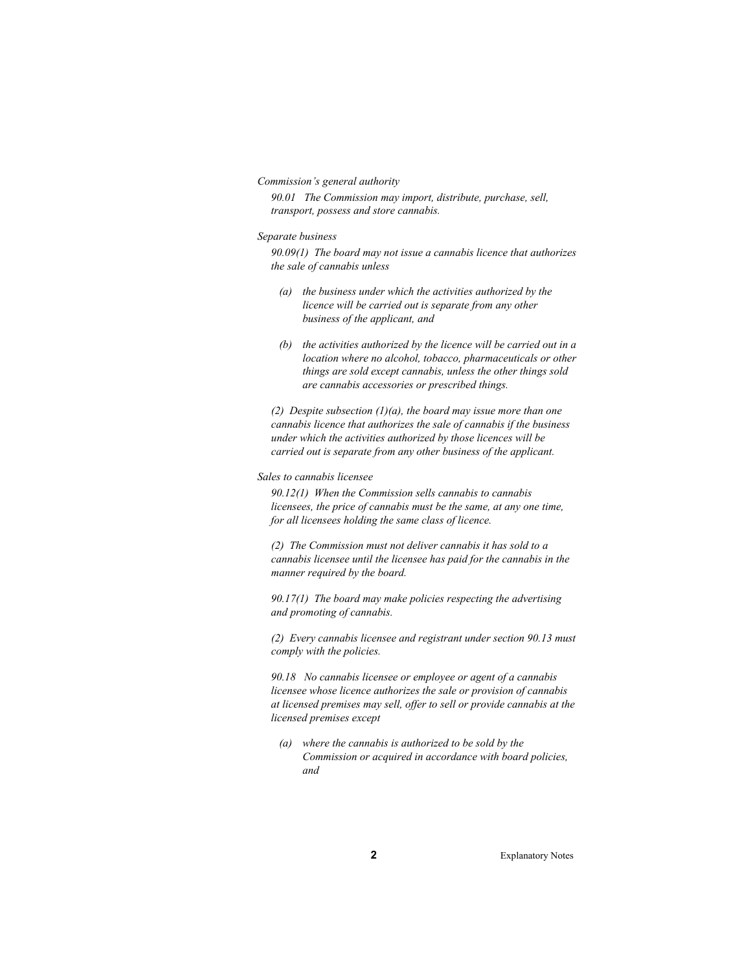*Commission's general authority* 

*90.01 The Commission may import, distribute, purchase, sell, transport, possess and store cannabis.* 

#### *Separate business*

*90.09(1) The board may not issue a cannabis licence that authorizes the sale of cannabis unless* 

- *(a) the business under which the activities authorized by the licence will be carried out is separate from any other business of the applicant, and*
- *(b) the activities authorized by the licence will be carried out in a location where no alcohol, tobacco, pharmaceuticals or other things are sold except cannabis, unless the other things sold are cannabis accessories or prescribed things.*

*(2) Despite subsection (1)(a), the board may issue more than one cannabis licence that authorizes the sale of cannabis if the business under which the activities authorized by those licences will be carried out is separate from any other business of the applicant.* 

#### *Sales to cannabis licensee*

*90.12(1) When the Commission sells cannabis to cannabis licensees, the price of cannabis must be the same, at any one time, for all licensees holding the same class of licence.* 

*(2) The Commission must not deliver cannabis it has sold to a cannabis licensee until the licensee has paid for the cannabis in the manner required by the board.* 

*90.17(1) The board may make policies respecting the advertising and promoting of cannabis.* 

*(2) Every cannabis licensee and registrant under section 90.13 must comply with the policies.* 

*90.18 No cannabis licensee or employee or agent of a cannabis licensee whose licence authorizes the sale or provision of cannabis at licensed premises may sell, offer to sell or provide cannabis at the licensed premises except* 

 *(a) where the cannabis is authorized to be sold by the Commission or acquired in accordance with board policies, and*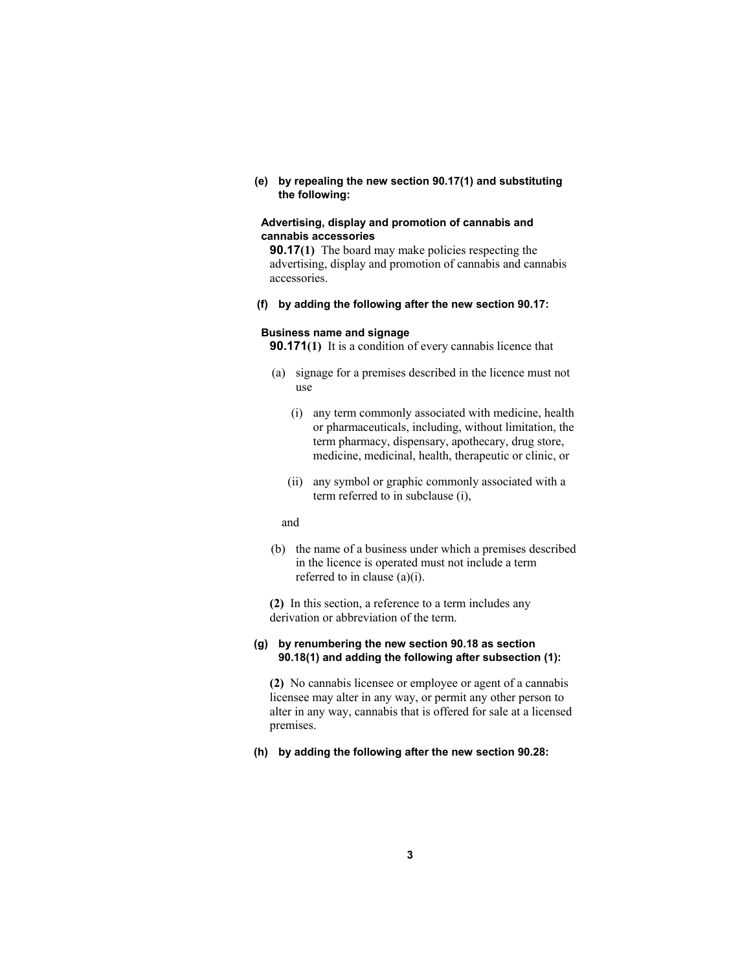**(e) by repealing the new section 90.17(1) and substituting the following:** 

#### **Advertising, display and promotion of cannabis and cannabis accessories**

**90.17(1)** The board may make policies respecting the advertising, display and promotion of cannabis and cannabis accessories.

**(f) by adding the following after the new section 90.17:** 

#### **Business name and signage**

**90.171(1)** It is a condition of every cannabis licence that

- (a) signage for a premises described in the licence must not use
	- (i) any term commonly associated with medicine, health or pharmaceuticals, including, without limitation, the term pharmacy, dispensary, apothecary, drug store, medicine, medicinal, health, therapeutic or clinic, or
	- (ii) any symbol or graphic commonly associated with a term referred to in subclause (i),

#### and

 (b) the name of a business under which a premises described in the licence is operated must not include a term referred to in clause (a)(i).

**(2)** In this section, a reference to a term includes any derivation or abbreviation of the term.

#### **(g) by renumbering the new section 90.18 as section 90.18(1) and adding the following after subsection (1):**

**(2)** No cannabis licensee or employee or agent of a cannabis licensee may alter in any way, or permit any other person to alter in any way, cannabis that is offered for sale at a licensed premises.

#### **(h) by adding the following after the new section 90.28:**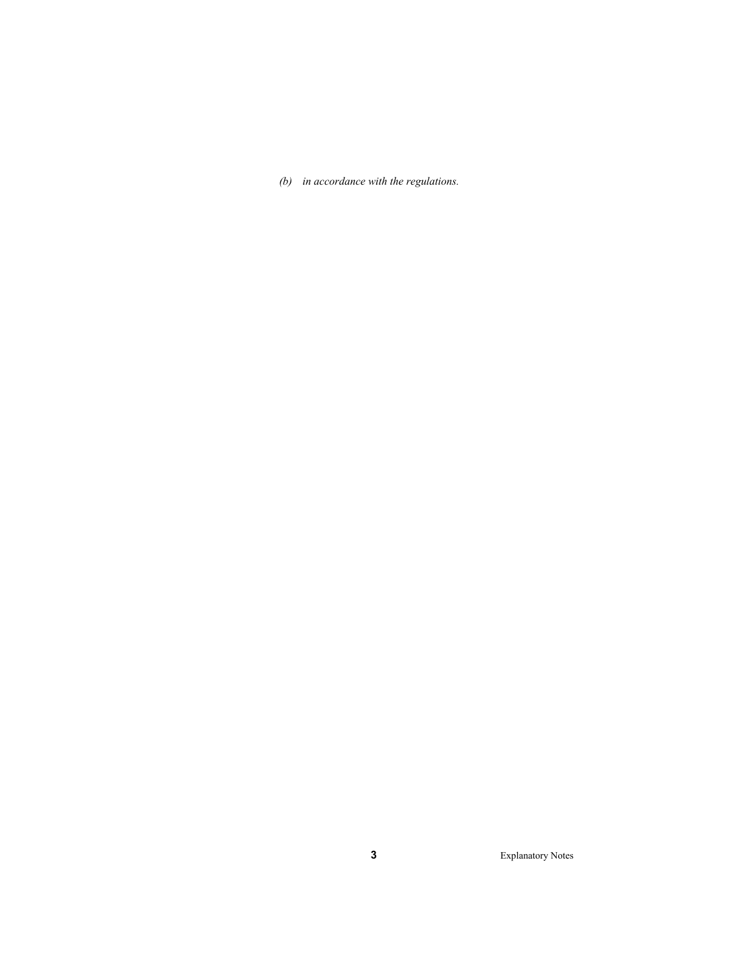*(b) in accordance with the regulations.*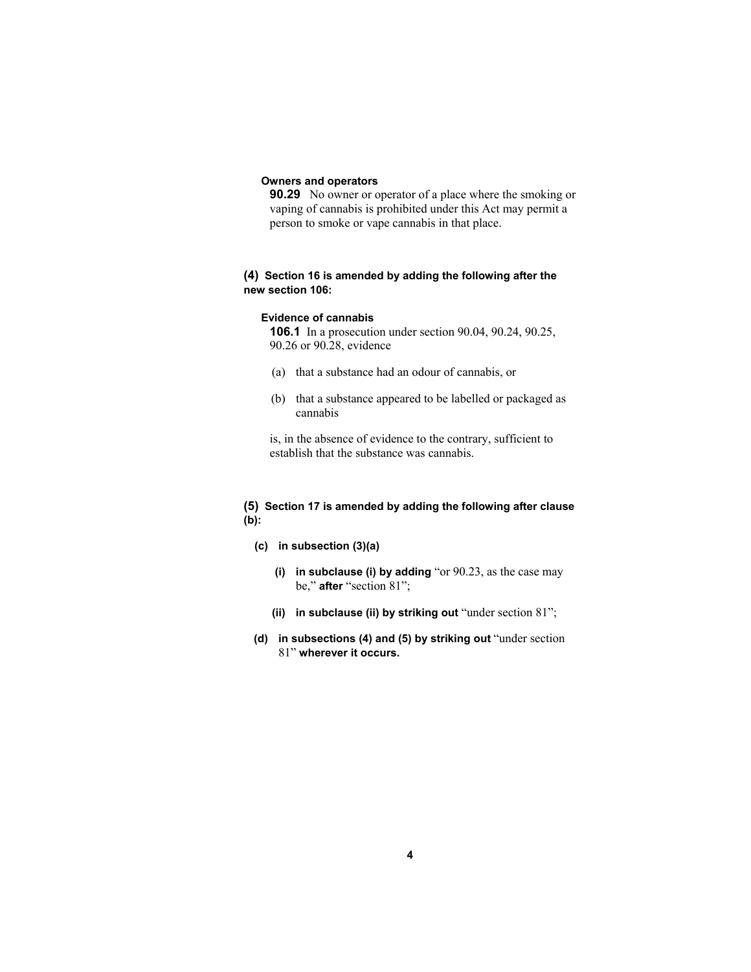# **Owners and operators**

**90.29** No owner or operator of a place where the smoking or vaping of cannabis is prohibited under this Act may permit a person to smoke or vape cannabis in that place.

### **(4) Section 16 is amended by adding the following after the new section 106:**

#### **Evidence of cannabis**

**106.1** In a prosecution under section 90.04, 90.24, 90.25, 90.26 or 90.28, evidence

- (a) that a substance had an odour of cannabis, or
- (b) that a substance appeared to be labelled or packaged as cannabis

is, in the absence of evidence to the contrary, sufficient to establish that the substance was cannabis.

# **(5) Section 17 is amended by adding the following after clause (b):**

- **(c) in subsection (3)(a)** 
	- **(i) in subclause (i) by adding** "or 90.23, as the case may be," **after** "section 81";
	- **(ii) in subclause (ii) by striking out** "under section 81";
- **(d) in subsections (4) and (5) by striking out** "under section 81" **wherever it occurs.**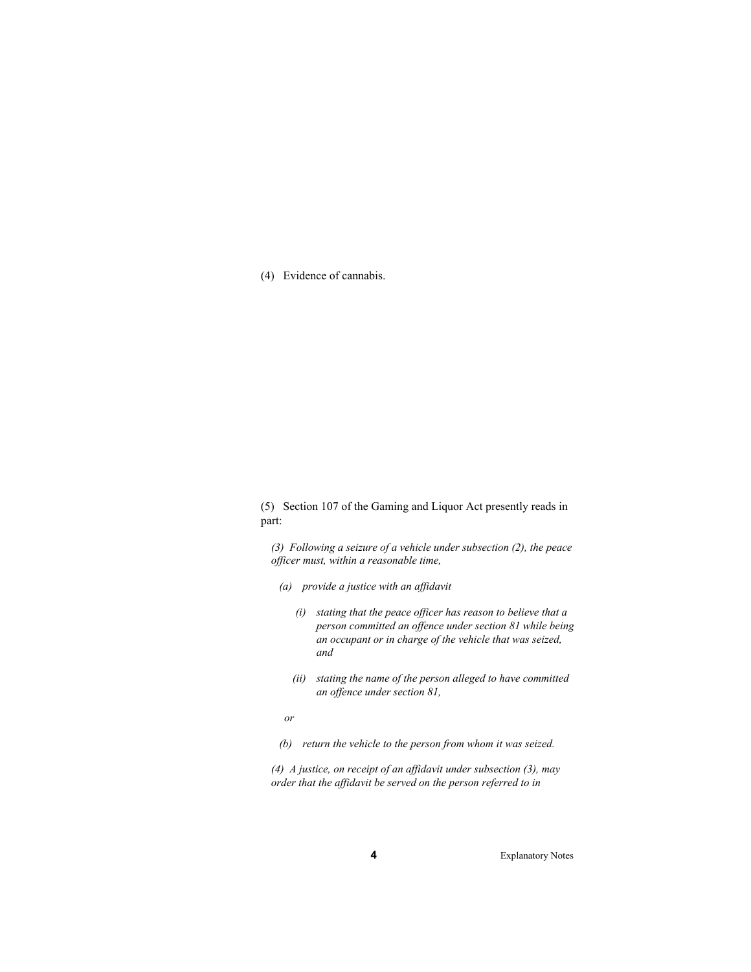(4) Evidence of cannabis.

(5) Section 107 of the Gaming and Liquor Act presently reads in part:

*(3) Following a seizure of a vehicle under subsection (2), the peace officer must, within a reasonable time,* 

- *(a) provide a justice with an affidavit* 
	- *(i) stating that the peace officer has reason to believe that a person committed an offence under section 81 while being an occupant or in charge of the vehicle that was seized, and*
	- *(ii) stating the name of the person alleged to have committed an offence under section 81,*
- *or*
- *(b) return the vehicle to the person from whom it was seized.*

*(4) A justice, on receipt of an affidavit under subsection (3), may order that the affidavit be served on the person referred to in*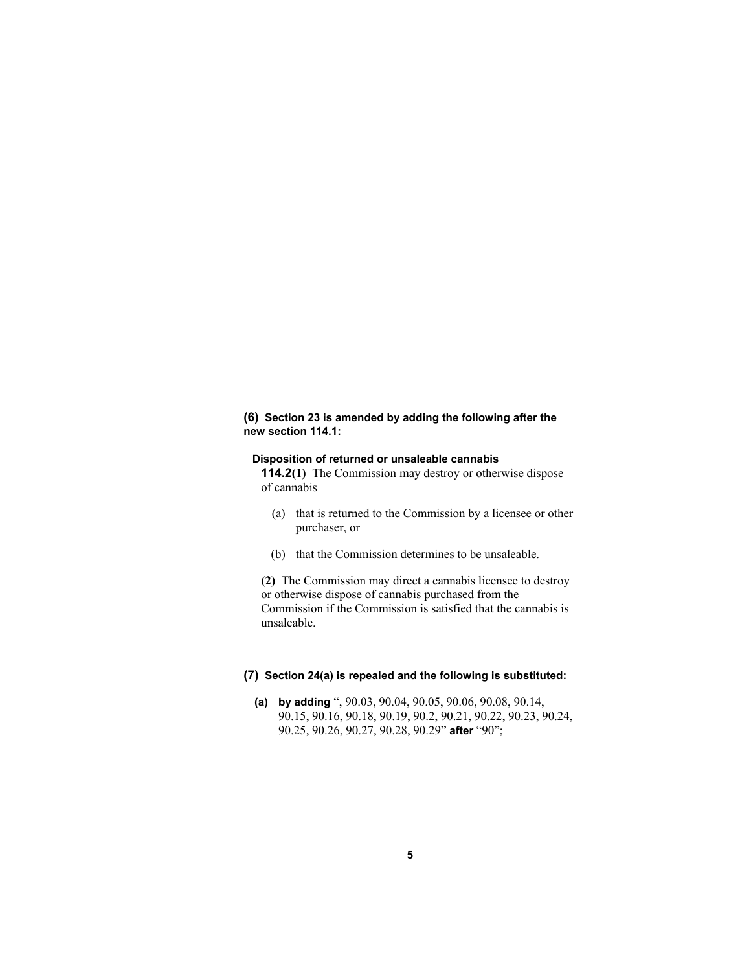#### **(6) Section 23 is amended by adding the following after the new section 114.1:**

#### **Disposition of returned or unsaleable cannabis**

**114.2(1)** The Commission may destroy or otherwise dispose of cannabis

- (a) that is returned to the Commission by a licensee or other purchaser, or
- (b) that the Commission determines to be unsaleable.

**(2)** The Commission may direct a cannabis licensee to destroy or otherwise dispose of cannabis purchased from the Commission if the Commission is satisfied that the cannabis is unsaleable.

# **(7) Section 24(a) is repealed and the following is substituted:**

**(a) by adding** ", 90.03, 90.04, 90.05, 90.06, 90.08, 90.14, 90.15, 90.16, 90.18, 90.19, 90.2, 90.21, 90.22, 90.23, 90.24, 90.25, 90.26, 90.27, 90.28, 90.29" **after** "90";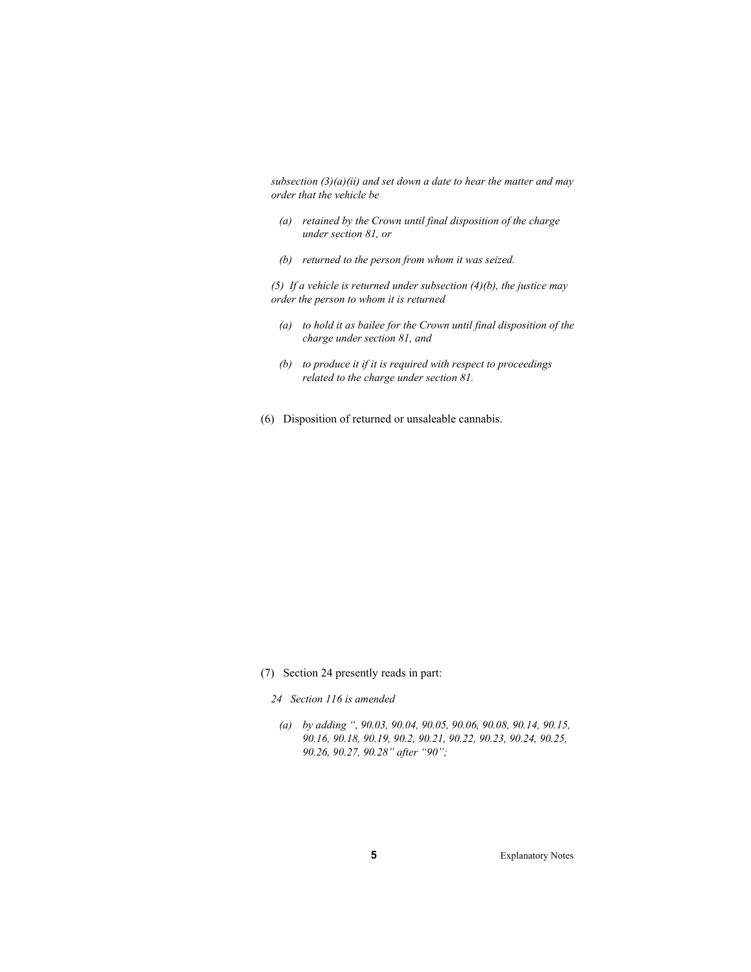*subsection (3)(a)(ii) and set down a date to hear the matter and may order that the vehicle be* 

- *(a) retained by the Crown until final disposition of the charge under section 81, or*
- *(b) returned to the person from whom it was seized.*

*(5) If a vehicle is returned under subsection (4)(b), the justice may order the person to whom it is returned* 

- *(a) to hold it as bailee for the Crown until final disposition of the charge under section 81, and*
- *(b) to produce it if it is required with respect to proceedings related to the charge under section 81.*
- (6) Disposition of returned or unsaleable cannabis.

(7) Section 24 presently reads in part:

*24 Section 116 is amended* 

 *(a) by adding ", 90.03, 90.04, 90.05, 90.06, 90.08, 90.14, 90.15, 90.16, 90.18, 90.19, 90.2, 90.21, 90.22, 90.23, 90.24, 90.25, 90.26, 90.27, 90.28" after "90";*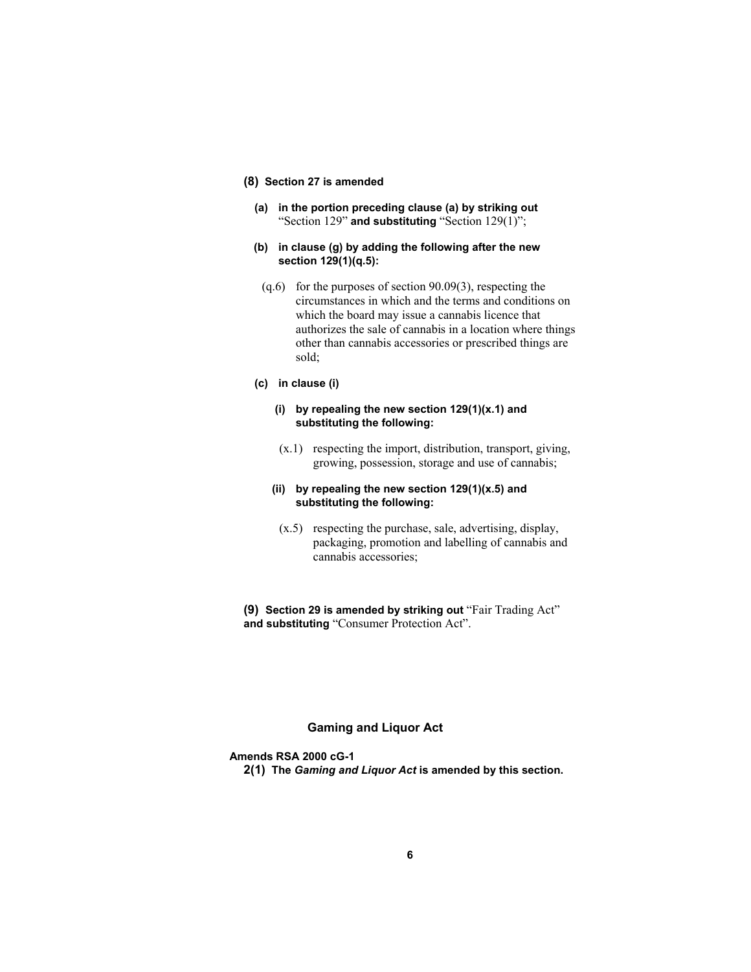#### **(8) Section 27 is amended**

- **(a) in the portion preceding clause (a) by striking out** "Section 129" **and substituting** "Section 129(1)";
- **(b) in clause (g) by adding the following after the new section 129(1)(q.5):**
- (q.6) for the purposes of section 90.09(3), respecting the circumstances in which and the terms and conditions on which the board may issue a cannabis licence that authorizes the sale of cannabis in a location where things other than cannabis accessories or prescribed things are sold;
- **(c) in clause (i)**

### **(i) by repealing the new section 129(1)(x.1) and substituting the following:**

 (x.1) respecting the import, distribution, transport, giving, growing, possession, storage and use of cannabis;

#### **(ii) by repealing the new section 129(1)(x.5) and substituting the following:**

 (x.5) respecting the purchase, sale, advertising, display, packaging, promotion and labelling of cannabis and cannabis accessories;

**(9) Section 29 is amended by striking out** "Fair Trading Act" **and substituting** "Consumer Protection Act".

#### **Gaming and Liquor Act**

**Amends RSA 2000 cG-1** 

**2(1) The** *Gaming and Liquor Act* **is amended by this section.**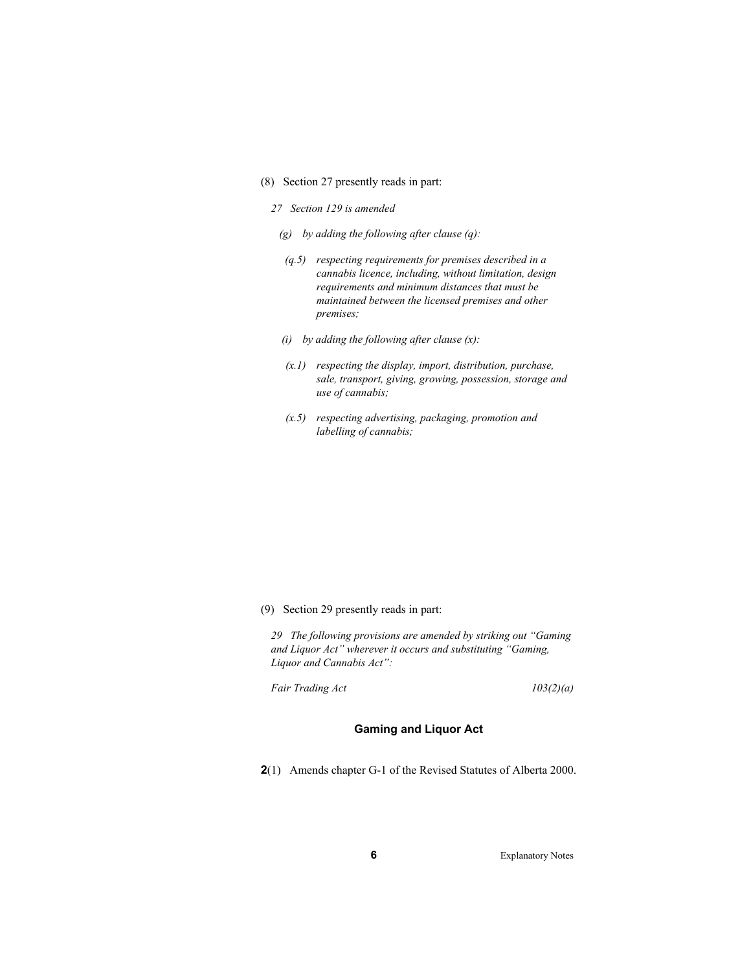- (8) Section 27 presently reads in part:
	- *27 Section 129 is amended*
	- *(g) by adding the following after clause (q):*
	- *(q.5) respecting requirements for premises described in a cannabis licence, including, without limitation, design requirements and minimum distances that must be maintained between the licensed premises and other premises;*
	- *(i) by adding the following after clause (x):*
	- *(x.1) respecting the display, import, distribution, purchase, sale, transport, giving, growing, possession, storage and use of cannabis;*
	- *(x.5) respecting advertising, packaging, promotion and labelling of cannabis;*

(9) Section 29 presently reads in part:

*29 The following provisions are amended by striking out "Gaming and Liquor Act" wherever it occurs and substituting "Gaming, Liquor and Cannabis Act":* 

*Fair Trading Act 103(2)(a)* 

# **Gaming and Liquor Act**

**2**(1) Amends chapter G-1 of the Revised Statutes of Alberta 2000.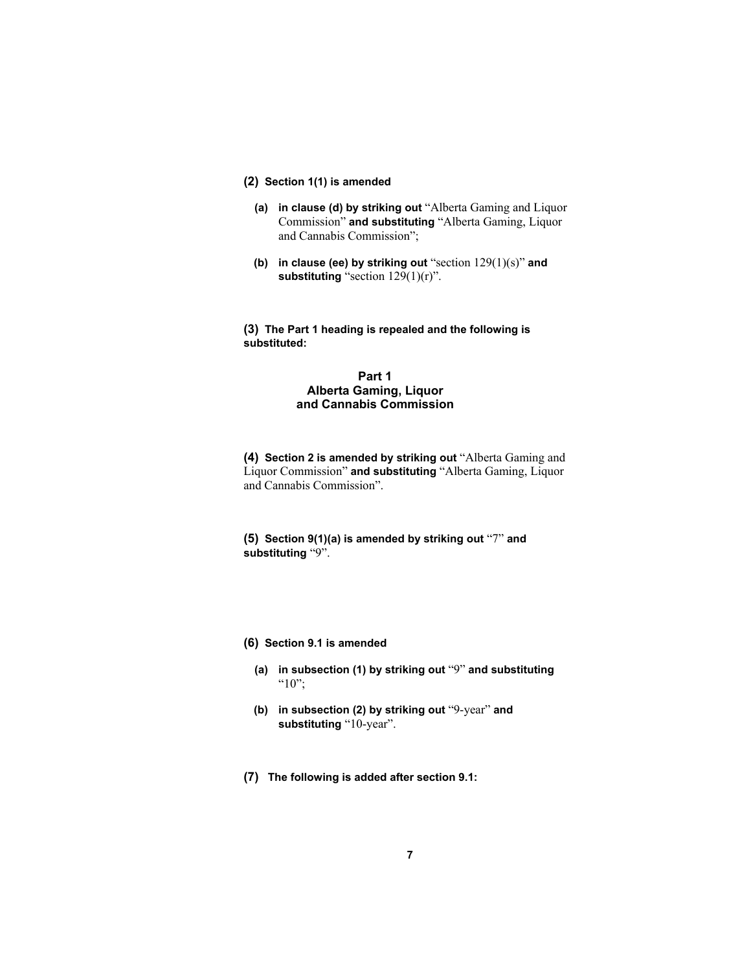#### **(2) Section 1(1) is amended**

- **(a) in clause (d) by striking out** "Alberta Gaming and Liquor Commission" **and substituting** "Alberta Gaming, Liquor and Cannabis Commission";
- **(b) in clause (ee) by striking out** "section 129(1)(s)" **and substituting** "section 129(1)(r)".

**(3) The Part 1 heading is repealed and the following is substituted:**

#### **Part 1 Alberta Gaming, Liquor and Cannabis Commission**

**(4) Section 2 is amended by striking out** "Alberta Gaming and Liquor Commission" **and substituting** "Alberta Gaming, Liquor and Cannabis Commission".

**(5) Section 9(1)(a) is amended by striking out** "7" **and substituting** "9".

#### **(6) Section 9.1 is amended**

- **(a) in subsection (1) by striking out** "9" **and substituting** " $10$ ";
- **(b) in subsection (2) by striking out** "9-year" **and**  substituting "10-year".
- **(7) The following is added after section 9.1:**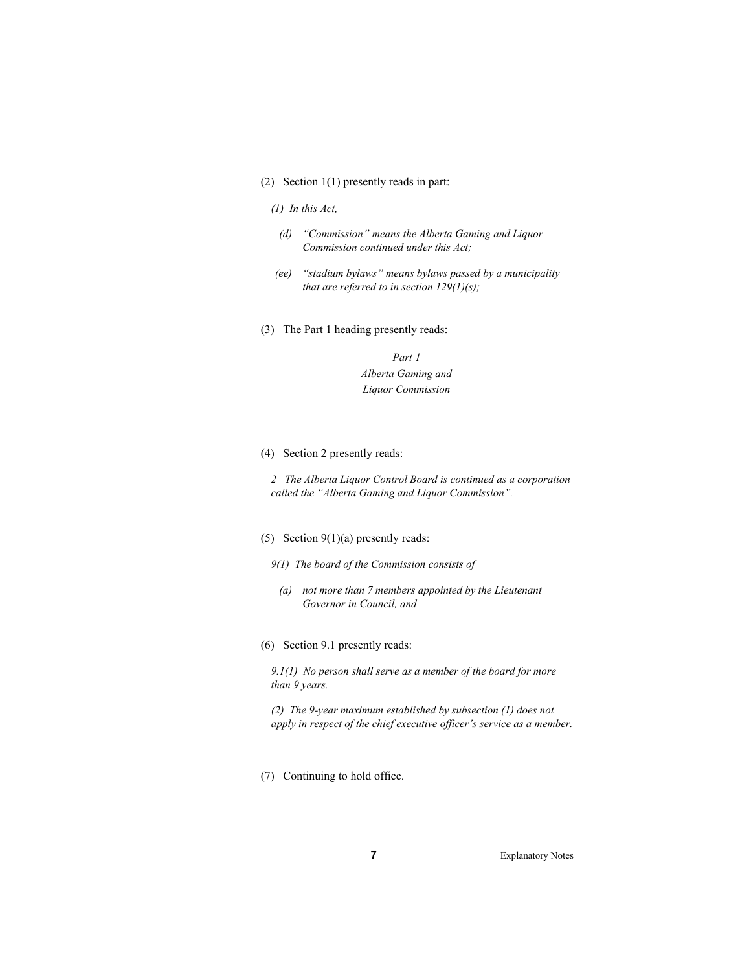# (2) Section 1(1) presently reads in part:

#### *(1) In this Act,*

- *(d) "Commission" means the Alberta Gaming and Liquor Commission continued under this Act;*
- *(ee) "stadium bylaws" means bylaws passed by a municipality that are referred to in section 129(1)(s);*
- (3) The Part 1 heading presently reads:

*Part 1 Alberta Gaming and Liquor Commission* 

(4) Section 2 presently reads:

*2 The Alberta Liquor Control Board is continued as a corporation called the "Alberta Gaming and Liquor Commission".* 

#### (5) Section  $9(1)(a)$  presently reads:

- *9(1) The board of the Commission consists of*
- *(a) not more than 7 members appointed by the Lieutenant Governor in Council, and*

(6) Section 9.1 presently reads:

*9.1(1) No person shall serve as a member of the board for more than 9 years.* 

*(2) The 9-year maximum established by subsection (1) does not apply in respect of the chief executive officer's service as a member.* 

(7) Continuing to hold office.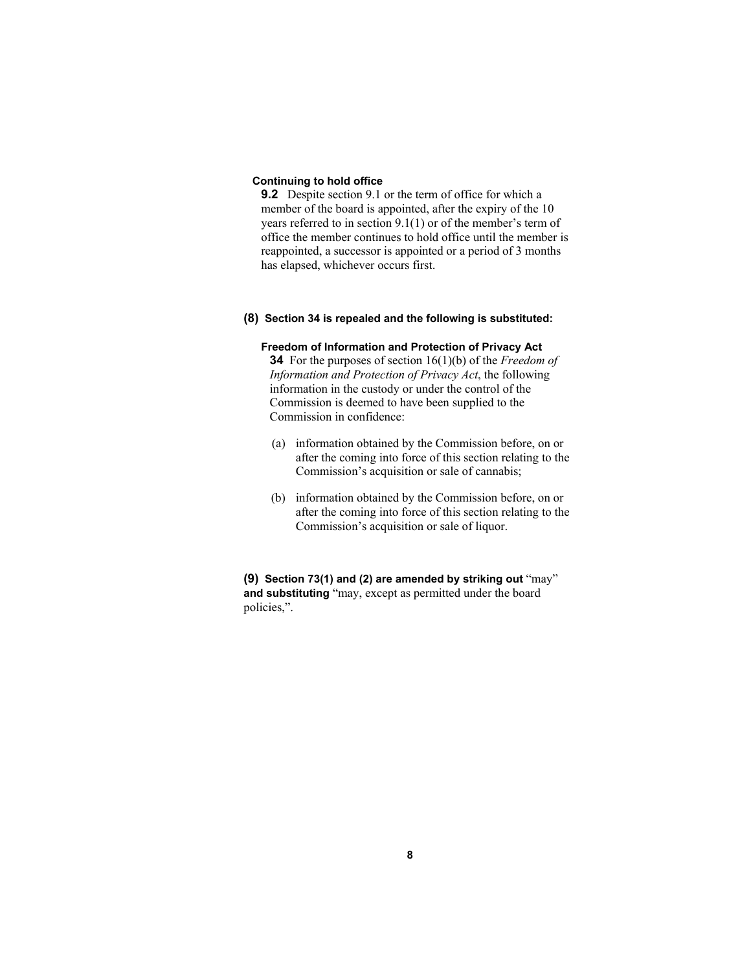#### **Continuing to hold office**

**9.2** Despite section 9.1 or the term of office for which a member of the board is appointed, after the expiry of the 10 years referred to in section 9.1(1) or of the member's term of office the member continues to hold office until the member is reappointed, a successor is appointed or a period of 3 months has elapsed, whichever occurs first.

#### **(8) Section 34 is repealed and the following is substituted:**

#### **Freedom of Information and Protection of Privacy Act**

**34** For the purposes of section 16(1)(b) of the *Freedom of Information and Protection of Privacy Act*, the following information in the custody or under the control of the Commission is deemed to have been supplied to the Commission in confidence:

- (a) information obtained by the Commission before, on or after the coming into force of this section relating to the Commission's acquisition or sale of cannabis;
- (b) information obtained by the Commission before, on or after the coming into force of this section relating to the Commission's acquisition or sale of liquor.

**(9) Section 73(1) and (2) are amended by striking out** "may" **and substituting** "may, except as permitted under the board policies,".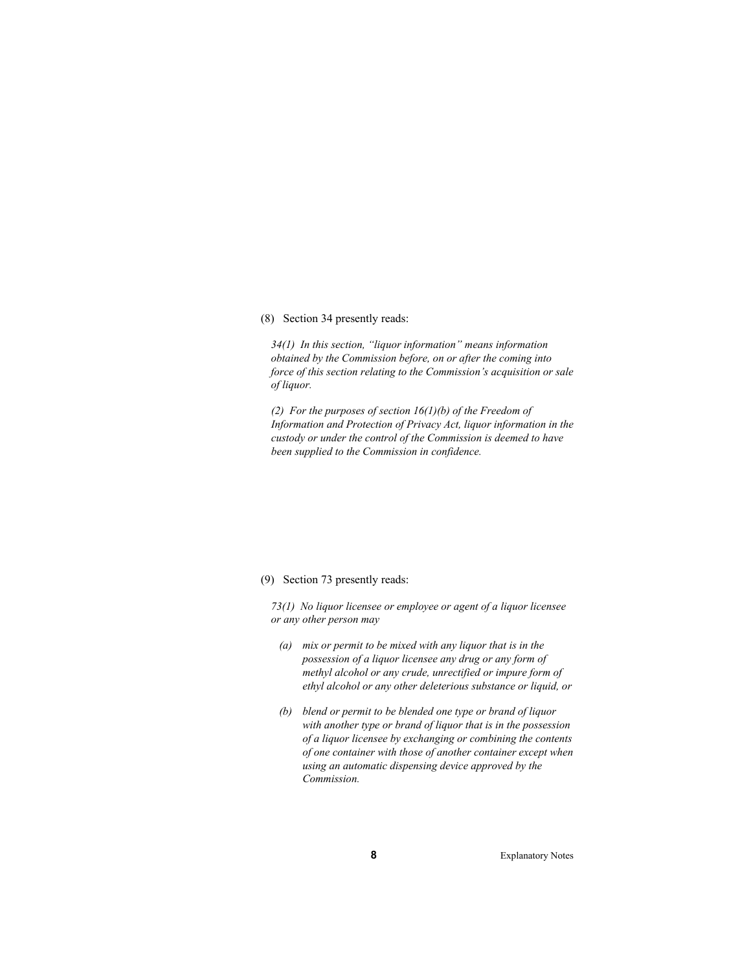#### (8) Section 34 presently reads:

*34(1) In this section, "liquor information" means information obtained by the Commission before, on or after the coming into force of this section relating to the Commission's acquisition or sale of liquor.* 

*(2) For the purposes of section 16(1)(b) of the Freedom of Information and Protection of Privacy Act, liquor information in the custody or under the control of the Commission is deemed to have been supplied to the Commission in confidence.* 

#### (9) Section 73 presently reads:

*73(1) No liquor licensee or employee or agent of a liquor licensee or any other person may* 

- *(a) mix or permit to be mixed with any liquor that is in the possession of a liquor licensee any drug or any form of methyl alcohol or any crude, unrectified or impure form of ethyl alcohol or any other deleterious substance or liquid, or*
- *(b) blend or permit to be blended one type or brand of liquor with another type or brand of liquor that is in the possession of a liquor licensee by exchanging or combining the contents of one container with those of another container except when using an automatic dispensing device approved by the Commission.*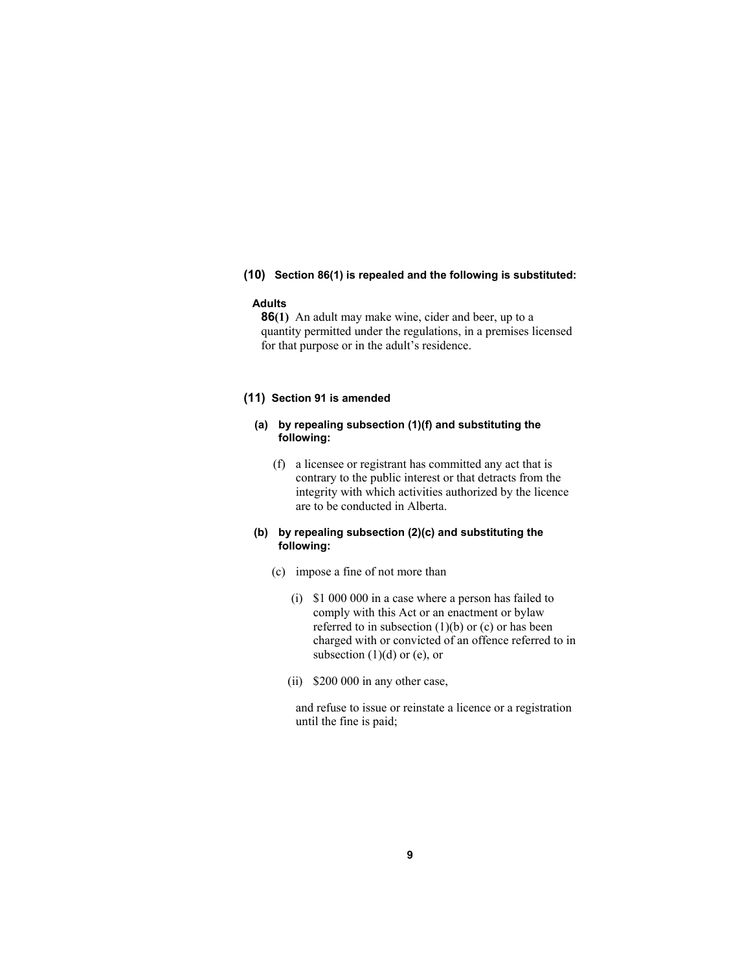#### **(10) Section 86(1) is repealed and the following is substituted:**

#### **Adults**

**86(1)** An adult may make wine, cider and beer, up to a quantity permitted under the regulations, in a premises licensed for that purpose or in the adult's residence.

#### **(11) Section 91 is amended**

# **(a) by repealing subsection (1)(f) and substituting the following:**

 (f) a licensee or registrant has committed any act that is contrary to the public interest or that detracts from the integrity with which activities authorized by the licence are to be conducted in Alberta.

# **(b) by repealing subsection (2)(c) and substituting the following:**

- (c) impose a fine of not more than
	- (i) \$1 000 000 in a case where a person has failed to comply with this Act or an enactment or bylaw referred to in subsection  $(1)(b)$  or  $(c)$  or has been charged with or convicted of an offence referred to in subsection  $(1)(d)$  or  $(e)$ , or
	- (ii) \$200 000 in any other case,

 and refuse to issue or reinstate a licence or a registration until the fine is paid;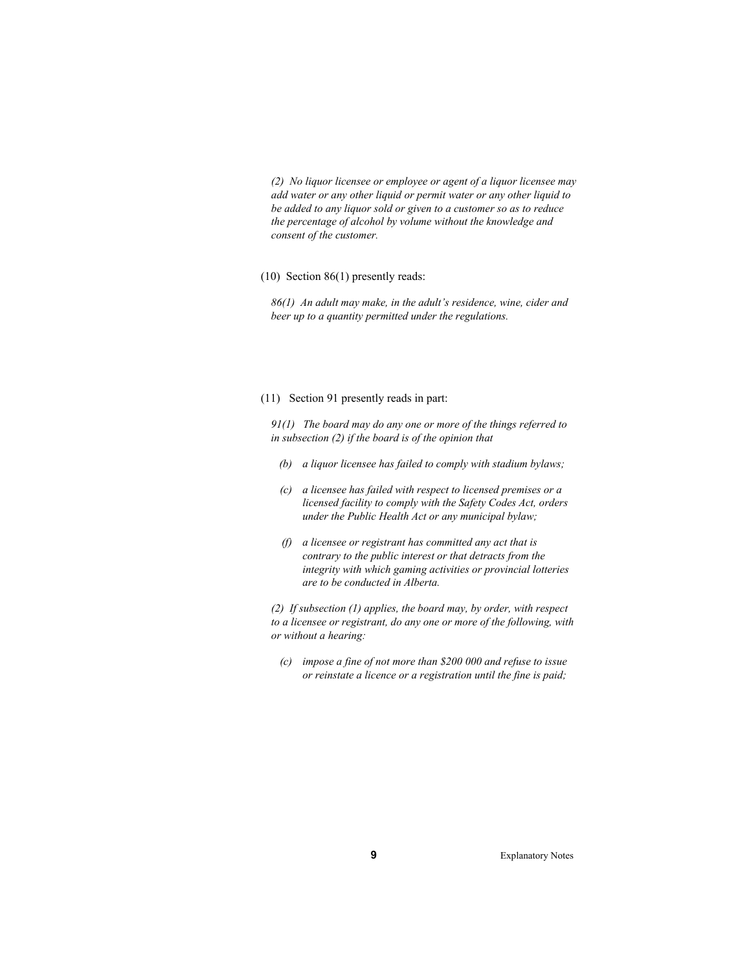*(2) No liquor licensee or employee or agent of a liquor licensee may add water or any other liquid or permit water or any other liquid to be added to any liquor sold or given to a customer so as to reduce the percentage of alcohol by volume without the knowledge and consent of the customer.* 

# (10) Section 86(1) presently reads:

*86(1) An adult may make, in the adult's residence, wine, cider and beer up to a quantity permitted under the regulations.* 

#### (11) Section 91 presently reads in part:

*91(1) The board may do any one or more of the things referred to in subsection (2) if the board is of the opinion that* 

- *(b) a liquor licensee has failed to comply with stadium bylaws;*
- *(c) a licensee has failed with respect to licensed premises or a licensed facility to comply with the Safety Codes Act, orders under the Public Health Act or any municipal bylaw;*
- *(f) a licensee or registrant has committed any act that is contrary to the public interest or that detracts from the integrity with which gaming activities or provincial lotteries are to be conducted in Alberta.*

*(2) If subsection (1) applies, the board may, by order, with respect to a licensee or registrant, do any one or more of the following, with or without a hearing:* 

 *(c) impose a fine of not more than \$200 000 and refuse to issue or reinstate a licence or a registration until the fine is paid;*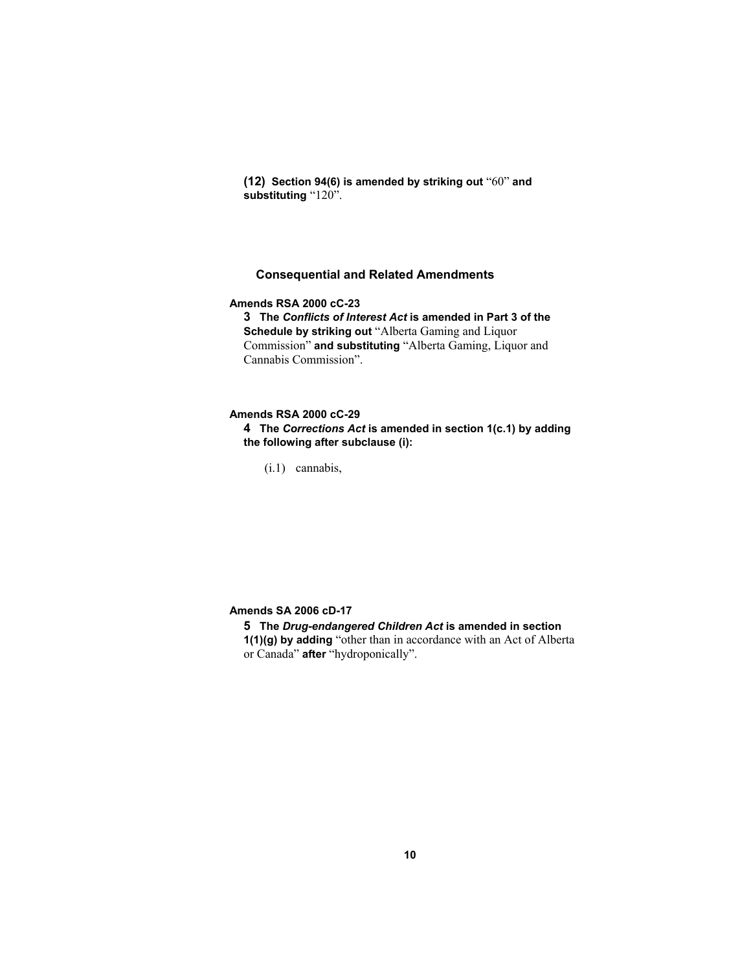**(12) Section 94(6) is amended by striking out** "60" **and substituting** "120".

#### **Consequential and Related Amendments**

**Amends RSA 2000 cC-23** 

**3 The** *Conflicts of Interest Act* **is amended in Part 3 of the Schedule by striking out** "Alberta Gaming and Liquor Commission" **and substituting** "Alberta Gaming, Liquor and Cannabis Commission".

#### **Amends RSA 2000 cC-29**

**4 The** *Corrections Act* **is amended in section 1(c.1) by adding the following after subclause (i):**

(i.1) cannabis,

# **Amends SA 2006 cD-17**

**5 The** *Drug-endangered Children Act* **is amended in section** 

**1(1)(g) by adding** "other than in accordance with an Act of Alberta or Canada" **after** "hydroponically".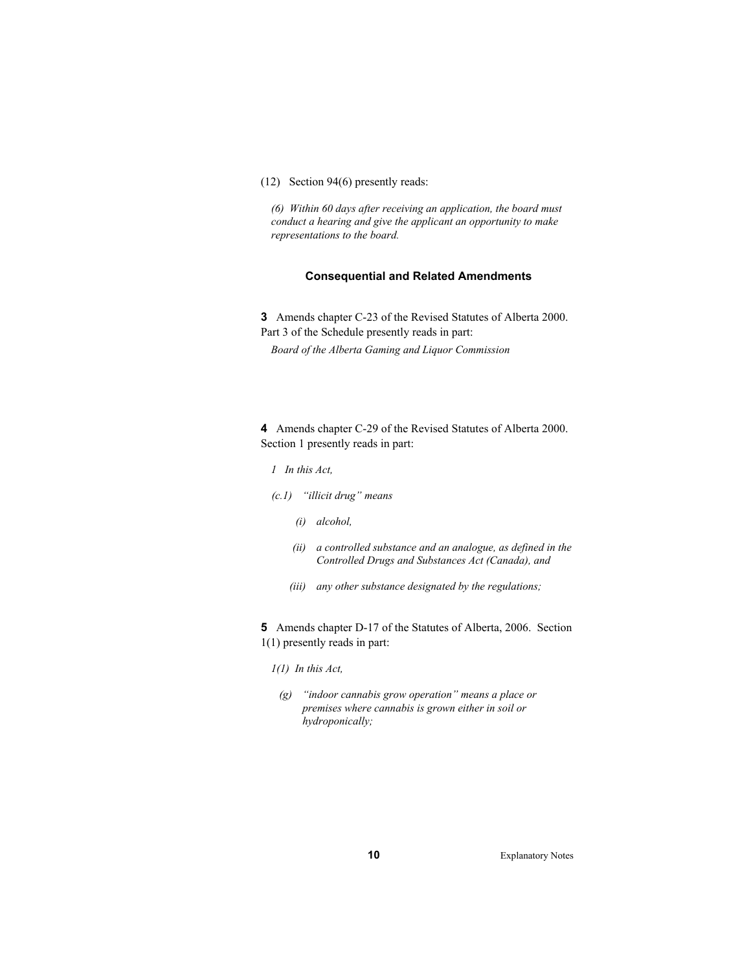(12) Section 94(6) presently reads:

*(6) Within 60 days after receiving an application, the board must conduct a hearing and give the applicant an opportunity to make representations to the board.* 

# **Consequential and Related Amendments**

**3** Amends chapter C-23 of the Revised Statutes of Alberta 2000. Part 3 of the Schedule presently reads in part: *Board of the Alberta Gaming and Liquor Commission* 

**4** Amends chapter C-29 of the Revised Statutes of Alberta 2000. Section 1 presently reads in part:

- *1 In this Act,*
- *(c.1) "illicit drug" means* 
	- *(i) alcohol,*
	- *(ii) a controlled substance and an analogue, as defined in the Controlled Drugs and Substances Act (Canada), and*
	- *(iii) any other substance designated by the regulations;*

**5** Amends chapter D-17 of the Statutes of Alberta, 2006. Section 1(1) presently reads in part:

- *1(1) In this Act,*
- *(g) "indoor cannabis grow operation" means a place or premises where cannabis is grown either in soil or hydroponically;*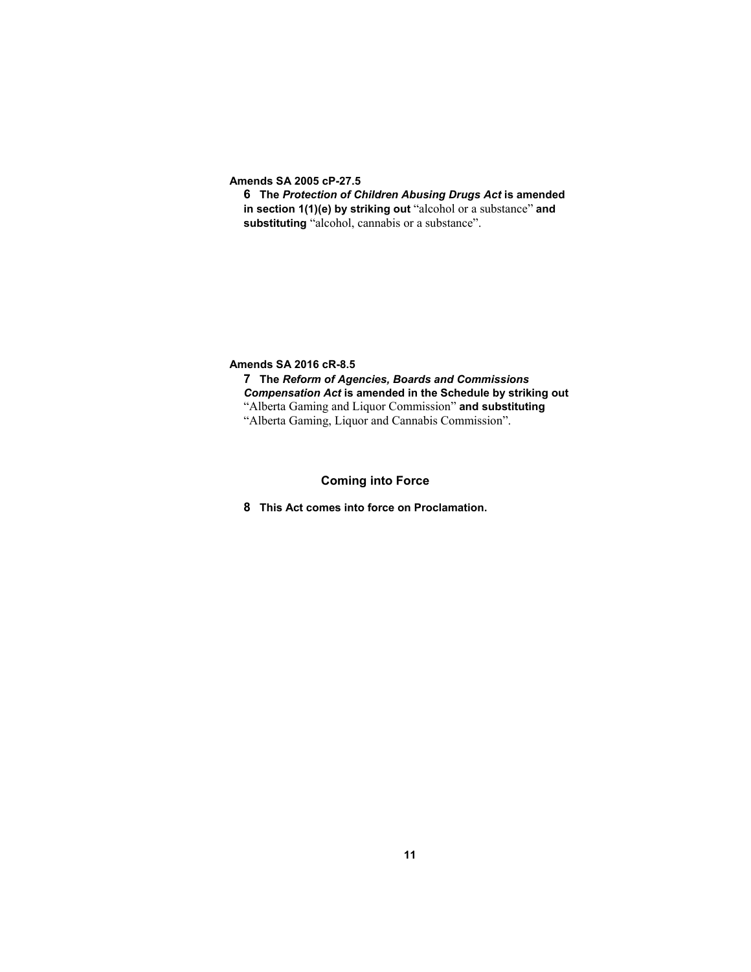**Amends SA 2005 cP-27.5** 

**6 The** *Protection of Children Abusing Drugs Act* **is amended in section 1(1)(e) by striking out** "alcohol or a substance" **and substituting** "alcohol, cannabis or a substance".

**Amends SA 2016 cR-8.5** 

**7 The** *Reform of Agencies, Boards and Commissions Compensation Act* **is amended in the Schedule by striking out** "Alberta Gaming and Liquor Commission" **and substituting** "Alberta Gaming, Liquor and Cannabis Commission".

# **Coming into Force**

**8 This Act comes into force on Proclamation.**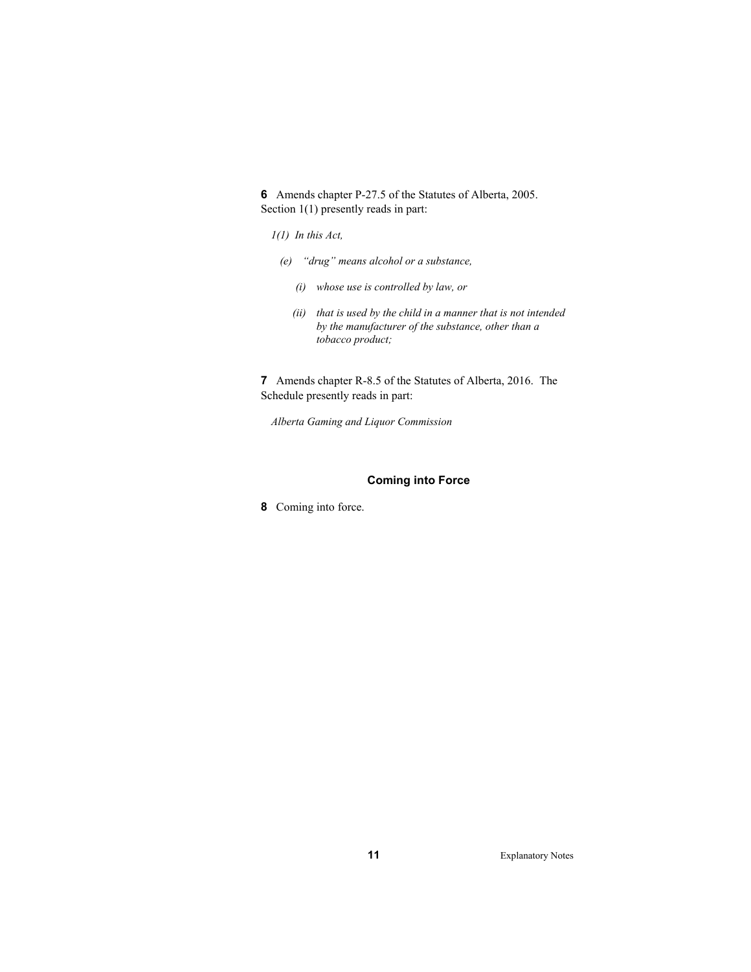**6** Amends chapter P-27.5 of the Statutes of Alberta, 2005. Section 1(1) presently reads in part:

*1(1) In this Act,* 

- *(e) "drug" means alcohol or a substance,* 
	- *(i) whose use is controlled by law, or*
	- *(ii) that is used by the child in a manner that is not intended by the manufacturer of the substance, other than a tobacco product;*

**7** Amends chapter R-8.5 of the Statutes of Alberta, 2016. The Schedule presently reads in part:

*Alberta Gaming and Liquor Commission* 

# **Coming into Force**

**8** Coming into force.